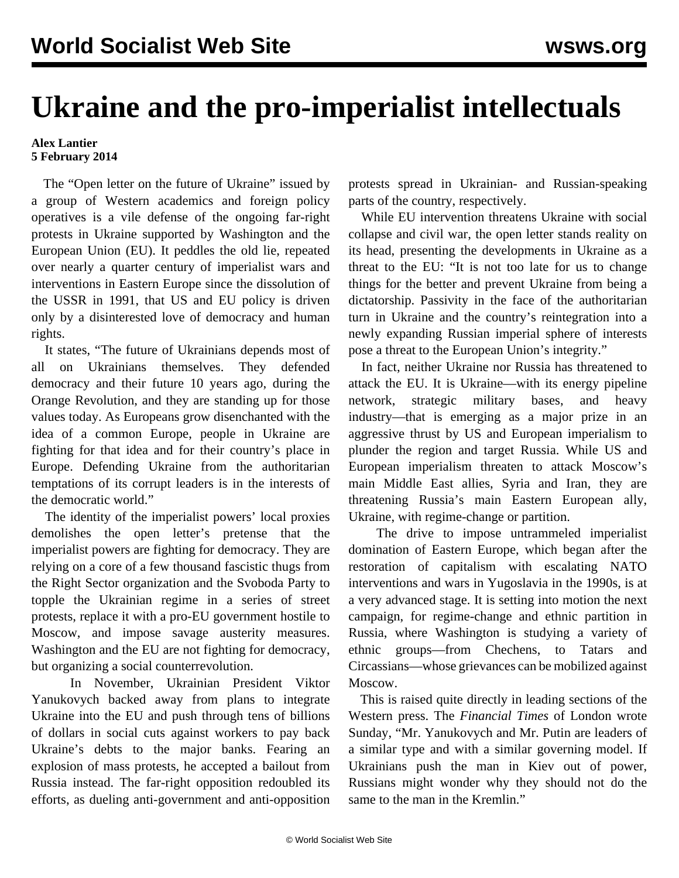## **Ukraine and the pro-imperialist intellectuals**

## **Alex Lantier 5 February 2014**

The "Open letter on the future of Ukraine" issued by a group of Western academics and foreign policy operatives is a vile defense of the ongoing far-right protests in Ukraine supported by Washington and the European Union (EU). It peddles the old lie, repeated over nearly a quarter century of imperialist wars and interventions in Eastern Europe since the dissolution of the USSR in 1991, that US and EU policy is driven only by a disinterested love of democracy and human rights.

 It states, "The future of Ukrainians depends most of all on Ukrainians themselves. They defended democracy and their future 10 years ago, during the Orange Revolution, and they are standing up for those values today. As Europeans grow disenchanted with the idea of a common Europe, people in Ukraine are fighting for that idea and for their country's place in Europe. Defending Ukraine from the authoritarian temptations of its corrupt leaders is in the interests of the democratic world."

 The identity of the imperialist powers' local proxies demolishes the open letter's pretense that the imperialist powers are fighting for democracy. They are relying on a core of a few thousand fascistic thugs from the Right Sector organization and the Svoboda Party to topple the Ukrainian regime in a series of street protests, replace it with a pro-EU government hostile to Moscow, and impose savage austerity measures. Washington and the EU are not fighting for democracy, but organizing a social counterrevolution.

 In November, Ukrainian President Viktor Yanukovych backed away from plans to integrate Ukraine into the EU and push through tens of billions of dollars in social cuts against workers to pay back Ukraine's debts to the major banks. Fearing an explosion of mass protests, he accepted a bailout from Russia instead. The far-right opposition redoubled its efforts, as dueling anti-government and anti-opposition

protests spread in Ukrainian- and Russian-speaking parts of the country, respectively.

 While EU intervention threatens Ukraine with social collapse and civil war, the open letter stands reality on its head, presenting the developments in Ukraine as a threat to the EU: "It is not too late for us to change things for the better and prevent Ukraine from being a dictatorship. Passivity in the face of the authoritarian turn in Ukraine and the country's reintegration into a newly expanding Russian imperial sphere of interests pose a threat to the European Union's integrity."

 In fact, neither Ukraine nor Russia has threatened to attack the EU. It is Ukraine—with its energy pipeline network, strategic military bases, and heavy industry—that is emerging as a major prize in an aggressive thrust by US and European imperialism to plunder the region and target Russia. While US and European imperialism threaten to attack Moscow's main Middle East allies, Syria and Iran, they are threatening Russia's main Eastern European ally, Ukraine, with regime-change or partition.

 The drive to impose untrammeled imperialist domination of Eastern Europe, which began after the restoration of capitalism with escalating NATO interventions and wars in Yugoslavia in the 1990s, is at a very advanced stage. It is setting into motion the next campaign, for regime-change and ethnic partition in Russia, where Washington is studying a variety of ethnic groups—from Chechens, to Tatars and Circassians—whose grievances can be mobilized against Moscow.

 This is raised quite directly in leading sections of the Western press. The *Financial Times* of London wrote Sunday, "Mr. Yanukovych and Mr. Putin are leaders of a similar type and with a similar governing model. If Ukrainians push the man in Kiev out of power, Russians might wonder why they should not do the same to the man in the Kremlin."